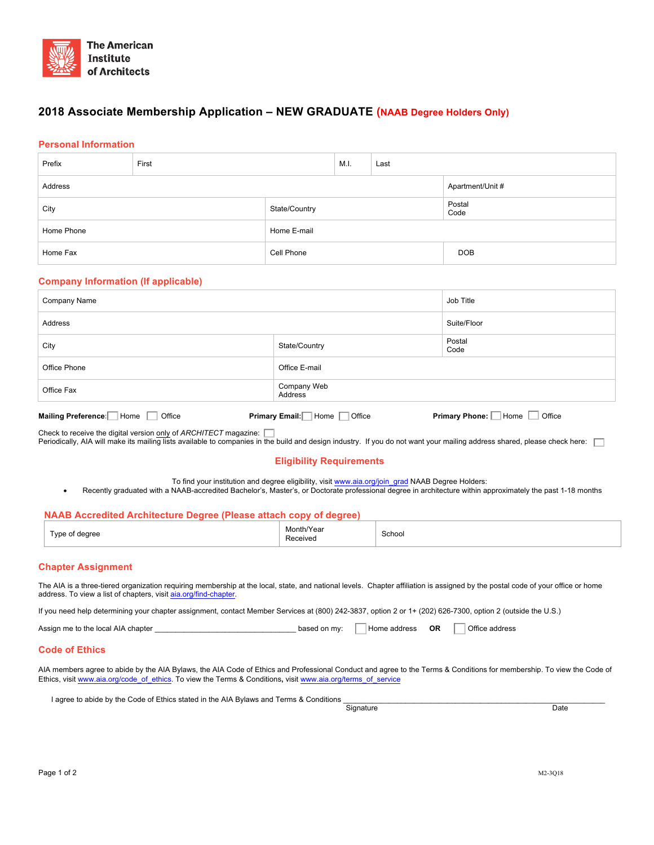

# **2018 Associate Membership Application – NEW GRADUATE (NAAB Degree Holders Only)**

# **Personal Information**

| Prefix     | First         |             | M.I. | Last |                  |
|------------|---------------|-------------|------|------|------------------|
| Address    |               |             |      |      | Apartment/Unit # |
| City       | State/Country |             |      |      | Postal<br>Code   |
| Home Phone |               | Home E-mail |      |      |                  |
| Home Fax   |               | Cell Phone  |      |      | <b>DOB</b>       |

# **Company Information (If applicable)**

| Company Name                       | Job Title                    |                                     |
|------------------------------------|------------------------------|-------------------------------------|
| Address                            | Suite/Floor                  |                                     |
| City                               | State/Country                | Postal<br>Code                      |
| Office Phone                       | Office E-mail                |                                     |
| Office Fax                         | Company Web<br>Address       |                                     |
| Mailing Preference: Home<br>Office | Primary Email: Home   Office | <b>Primary Phone:</b> Home   Office |

Check to receive the digital version <u>only</u> of *ARCHITECT* magazine: *██*<br>Periodically, AIA will make its mailing lists available to companies in the build and design industry. If you do not want your mailing address shar

# **Eligibility Requirements**

To find your institution and degree eligibility, visit www.aia.org/join\_grad NAAB Degree Holders:

• Recently graduated with a NAAB-accredited Bachelor's, Master's, or Doctorate professional degree in architecture within approximately the past 1-18 months

# **NAAB Accredited Architecture Degree (Please attach copy of degree)**

| $\overline{\phantom{0}}$<br><b>VDA</b><br>dearee | Month/Year<br>Receiveo<br>. | School<br>$- - - - - -$ |
|--------------------------------------------------|-----------------------------|-------------------------|
|--------------------------------------------------|-----------------------------|-------------------------|

## **Chapter Assignment**

The AIA is a three-tiered organization requiring membership at the local, state, and national levels. Chapter affiliation is assigned by the postal code of your office or home address. To view a list of chapters, visit aia.org/find-chapter.

If you need help determining your chapter assignment, contact Member Services at (800) 242-3837, option 2 or 1+ (202) 626-7300, option 2 (outside the U.S.)

Assign me to the local AIA chapter \_\_\_\_\_\_\_\_\_\_\_\_\_\_\_\_\_\_\_\_\_\_\_\_\_\_\_\_\_\_\_\_\_\_ based on my: Home address **OR** Office address

#### **Code of Ethics**

AIA members agree to abide by the AIA Bylaws, the AIA Code of Ethics and Professional Conduct and agree to the Terms & Conditions for membership. To view the Code of Ethics, visit www.aia.org/code\_of\_ethics. To view the Terms & Conditions, visit www.aia.org/terms\_of\_service

I agree to abide by the Code of Ethics stated in the AIA Bylaws and Terms & Conditions <br>
Signature

example and the Signature of the Signature of the Signature of the Date of the Date of the Date of the Date of the Date of the Date of the Date of the Date of the Date of the Date of the Date of the Date of the Date of the